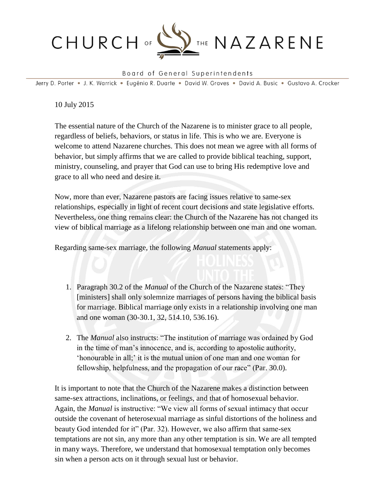

## Board of General Superintendents

Jerry D. Porter · J. K. Warrick · Eugénio R. Duarte · David W. Graves · David A. Busic · Gustavo A. Crocker

10 July 2015

The essential nature of the Church of the Nazarene is to minister grace to all people, regardless of beliefs, behaviors, or status in life. This is who we are. Everyone is welcome to attend Nazarene churches. This does not mean we agree with all forms of behavior, but simply affirms that we are called to provide biblical teaching, support, ministry, counseling, and prayer that God can use to bring His redemptive love and grace to all who need and desire it.

Now, more than ever, Nazarene pastors are facing issues relative to same-sex relationships, especially in light of recent court decisions and state legislative efforts. Nevertheless, one thing remains clear: the Church of the Nazarene has not changed its view of biblical marriage as a lifelong relationship between one man and one woman.

Regarding same-sex marriage, the following *Manual* statements apply:

- 1. Paragraph 30.2 of the *Manual* of the Church of the Nazarene states: "They [ministers] shall only solemnize marriages of persons having the biblical basis for marriage. Biblical marriage only exists in a relationship involving one man and one woman (30-30.1, 32, 514.10, 536.16).
- 2. The *Manual* also instructs: "The institution of marriage was ordained by God in the time of man's innocence, and is, according to apostolic authority, 'honourable in all;' it is the mutual union of one man and one woman for fellowship, helpfulness, and the propagation of our race" (Par. 30.0).

It is important to note that the Church of the Nazarene makes a distinction between same-sex attractions, inclinations, or feelings, and that of homosexual behavior. Again, the *Manual* is instructive: "We view all forms of sexual intimacy that occur outside the covenant of heterosexual marriage as sinful distortions of the holiness and beauty God intended for it" (Par. 32). However, we also affirm that same-sex temptations are not sin, any more than any other temptation is sin. We are all tempted in many ways. Therefore, we understand that homosexual temptation only becomes sin when a person acts on it through sexual lust or behavior.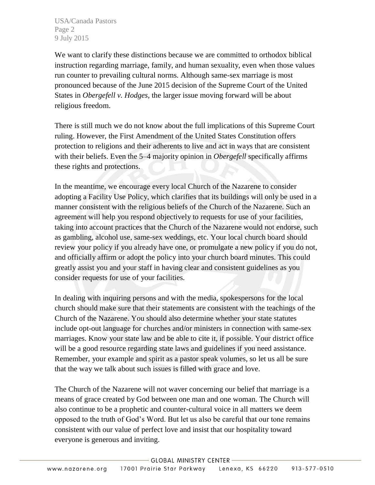USA/Canada Pastors Page 2 9 July 2015

We want to clarify these distinctions because we are committed to orthodox biblical instruction regarding marriage, family, and human sexuality, even when those values run counter to prevailing cultural norms. Although same-sex marriage is most pronounced because of the June 2015 decision of the Supreme Court of the United States in *Obergefell v. Hodges*, the larger issue moving forward will be about religious freedom.

There is still much we do not know about the full implications of this Supreme Court ruling. However, the First Amendment of the United States Constitution offers protection to religions and their adherents to live and act in ways that are consistent with their beliefs. Even the 5–4 majority opinion in *Obergefell* specifically affirms these rights and protections.

In the meantime, we encourage every local Church of the Nazarene to consider adopting a Facility Use Policy, which clarifies that its buildings will only be used in a manner consistent with the religious beliefs of the Church of the Nazarene. Such an agreement will help you respond objectively to requests for use of your facilities, taking into account practices that the Church of the Nazarene would not endorse, such as gambling, alcohol use, same-sex weddings, etc. Your local church board should review your policy if you already have one, or promulgate a new policy if you do not, and officially affirm or adopt the policy into your church board minutes. This could greatly assist you and your staff in having clear and consistent guidelines as you consider requests for use of your facilities.

In dealing with inquiring persons and with the media, spokespersons for the local church should make sure that their statements are consistent with the teachings of the Church of the Nazarene. You should also determine whether your state statutes include opt-out language for churches and/or ministers in connection with same-sex marriages. Know your state law and be able to cite it, if possible. Your district office will be a good resource regarding state laws and guidelines if you need assistance. Remember, your example and spirit as a pastor speak volumes, so let us all be sure that the way we talk about such issues is filled with grace and love.

The Church of the Nazarene will not waver concerning our belief that marriage is a means of grace created by God between one man and one woman. The Church will also continue to be a prophetic and counter-cultural voice in all matters we deem opposed to the truth of God's Word. But let us also be careful that our tone remains consistent with our value of perfect love and insist that our hospitality toward everyone is generous and inviting.